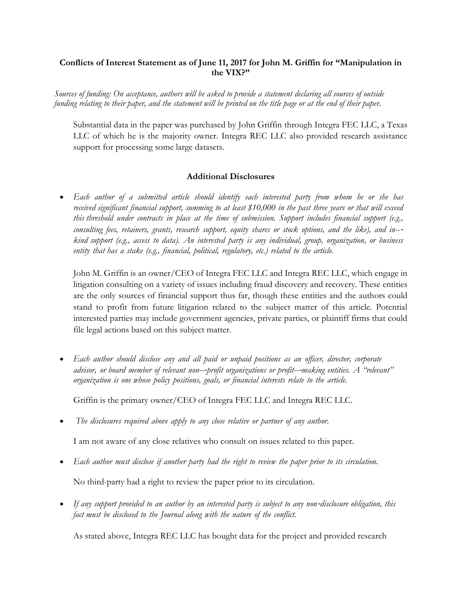## **Conflicts of Interest Statement as of June 11, 2017 for John M. Griffin for "Manipulation in the VIX?"**

*Sources of funding: On acceptance, authors will be asked to provide a statement declaring all sources of outside funding relating to their paper, and the statement will be printed on the title page or at the end of their paper.*

Substantial data in the paper was purchased by John Griffin through Integra FEC LLC, a Texas LLC of which he is the majority owner. Integra REC LLC also provided research assistance support for processing some large datasets.

## **Additional Disclosures**

• *Each author of a submitted article should identify each interested party from whom he or she has* received significant financial support, summing to at least \$10,000 in the past three years or that will exceed *this threshold under contracts in place at the time of submission. Support includes financial support (e.g., consulting fees, retainers, grants, research support, equity shares or stock options, and the like), and in--*‐ *kind support (e.g., access to data). An interested party is any individual, group, organization, or business entity that has a stake (e.g., financial, political, regulatory, etc.) related to the article.*

John M. Griffin is an owner/CEO of Integra FEC LLC and Integra REC LLC, which engage in litigation consulting on a variety of issues including fraud discovery and recovery. These entities are the only sources of financial support thus far, though these entities and the authors could stand to profit from future litigation related to the subject matter of this article. Potential interested parties may include government agencies, private parties, or plaintiff firms that could file legal actions based on this subject matter.

• *Each author should disclose any and all paid or unpaid positions as an officer, director, corporate advisor, or board member of relevant non--*‐*profit organizations or profit--*‐*making entities. A "relevant" organization is one whose policy positions, goals, or financial interests relate to the article.*

Griffin is the primary owner/CEO of Integra FEC LLC and Integra REC LLC.

• *The disclosures required above apply to any close relative or partner of any author.*

I am not aware of any close relatives who consult on issues related to this paper.

- Each author must disclose if another party had the right to review the paper prior to its circulation. No third-party had a right to review the paper prior to its circulation.
- If any support provided to an author by an interested party is subject to any non-disclosure obligation, this *fact must be disclosed to the Journal along with the nature of the conflict.*

As stated above, Integra REC LLC has bought data for the project and provided research